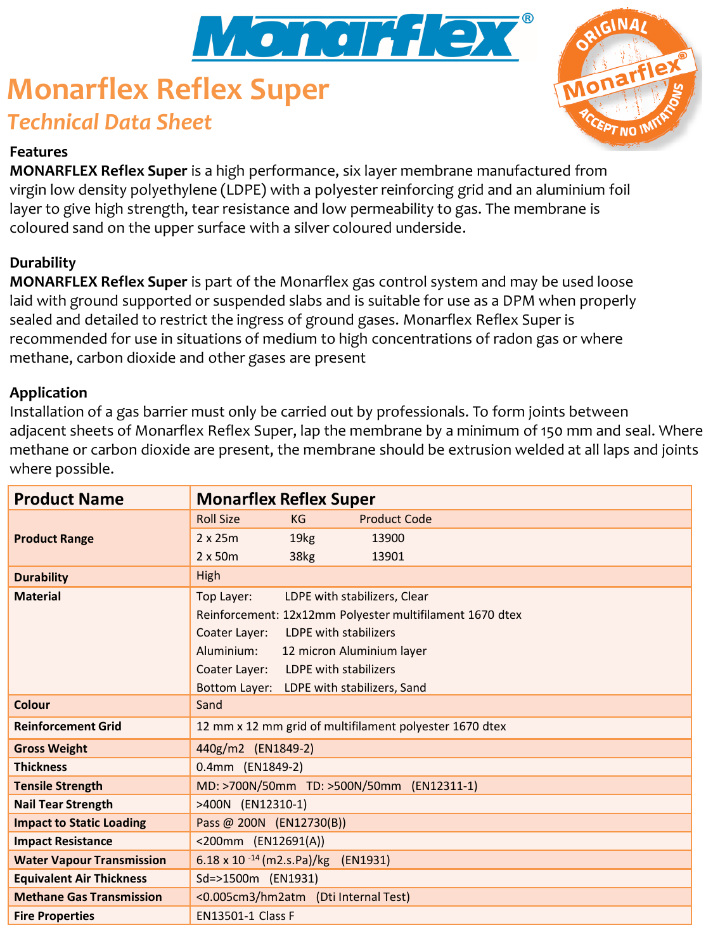

# **Monarflex Reflex Super** *Technical Data Sheet*

### **Features**

**MONARFLEX Reflex Super** is a high performance, six layer membrane manufactured from virgin low density polyethylene (LDPE) with a polyester reinforcing grid and an aluminium foil layer to give high strength, tear resistance and low permeability to gas. The membrane is coloured sand on the upper surface with a silver coloured underside.

#### **Durability**

**MONARFLEX Reflex Super** is part of the Monarflex gas control system and may be used loose laid with ground supported or suspended slabs and is suitable for use as a DPM when properly sealed and detailed to restrict the ingress of ground gases. Monarflex Reflex Super is recommended for use in situations of medium to high concentrations of radon gas or where methane, carbon dioxide and other gases are present

#### **Application**

Installation of a gas barrier must only be carried out by professionals. To form joints between adjacent sheets of Monarflex Reflex Super, lap the membrane by a minimum of 150 mm and seal. Where methane or carbon dioxide are present, the membrane should be extrusion welded at all laps and joints where possible.

| <b>Product Name</b>              | <b>Monarflex Reflex Super</b>                            |
|----------------------------------|----------------------------------------------------------|
|                                  | <b>Roll Size</b><br>KG<br><b>Product Code</b>            |
| <b>Product Range</b>             | $2 \times 25m$<br>19 <sub>kg</sub><br>13900              |
|                                  | $2 \times 50m$<br>38kg<br>13901                          |
| <b>Durability</b>                | High                                                     |
| <b>Material</b>                  | Top Layer:<br>LDPE with stabilizers, Clear               |
|                                  | Reinforcement: 12x12mm Polyester multifilament 1670 dtex |
|                                  | LDPE with stabilizers<br>Coater Layer:                   |
|                                  | Aluminium:<br>12 micron Aluminium layer                  |
|                                  | LDPE with stabilizers<br>Coater Layer:                   |
|                                  | Bottom Layer: LDPE with stabilizers, Sand                |
| Colour                           | Sand                                                     |
| <b>Reinforcement Grid</b>        | 12 mm x 12 mm grid of multifilament polyester 1670 dtex  |
| <b>Gross Weight</b>              | 440g/m2 (EN1849-2)                                       |
| <b>Thickness</b>                 | 0.4mm (EN1849-2)                                         |
| <b>Tensile Strength</b>          | MD: >700N/50mm TD: >500N/50mm (EN12311-1)                |
| <b>Nail Tear Strength</b>        | >400N (EN12310-1)                                        |
| <b>Impact to Static Loading</b>  | Pass @ 200N (EN12730(B))                                 |
| <b>Impact Resistance</b>         | <200mm (EN12691(A))                                      |
| <b>Water Vapour Transmission</b> | 6.18 x 10 $-14$ (m2.s.Pa)/kg (EN1931)                    |
| <b>Equivalent Air Thickness</b>  | Sd=>1500m (EN1931)                                       |
| <b>Methane Gas Transmission</b>  | <0.005cm3/hm2atm (Dti Internal Test)                     |
| <b>Fire Properties</b>           | <b>EN13501-1 Class F</b>                                 |